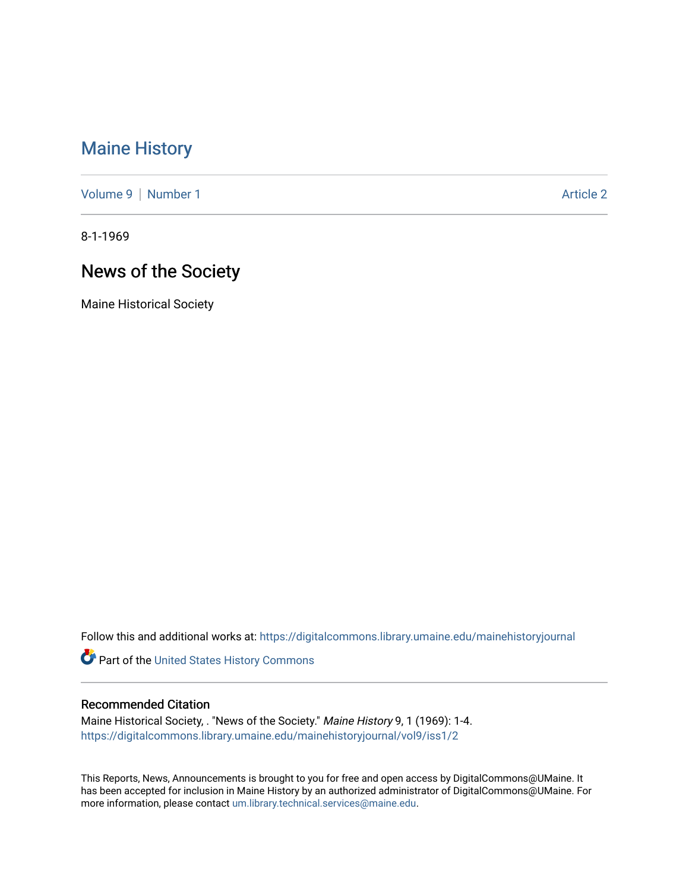## [Maine History](https://digitalcommons.library.umaine.edu/mainehistoryjournal)

[Volume 9](https://digitalcommons.library.umaine.edu/mainehistoryjournal/vol9) | [Number 1](https://digitalcommons.library.umaine.edu/mainehistoryjournal/vol9/iss1) Article 2

8-1-1969

# News of the Society

Maine Historical Society

Follow this and additional works at: [https://digitalcommons.library.umaine.edu/mainehistoryjournal](https://digitalcommons.library.umaine.edu/mainehistoryjournal?utm_source=digitalcommons.library.umaine.edu%2Fmainehistoryjournal%2Fvol9%2Fiss1%2F2&utm_medium=PDF&utm_campaign=PDFCoverPages) 

Part of the [United States History Commons](http://network.bepress.com/hgg/discipline/495?utm_source=digitalcommons.library.umaine.edu%2Fmainehistoryjournal%2Fvol9%2Fiss1%2F2&utm_medium=PDF&utm_campaign=PDFCoverPages) 

### Recommended Citation

Maine Historical Society, . "News of the Society." Maine History 9, 1 (1969): 1-4. [https://digitalcommons.library.umaine.edu/mainehistoryjournal/vol9/iss1/2](https://digitalcommons.library.umaine.edu/mainehistoryjournal/vol9/iss1/2?utm_source=digitalcommons.library.umaine.edu%2Fmainehistoryjournal%2Fvol9%2Fiss1%2F2&utm_medium=PDF&utm_campaign=PDFCoverPages)

This Reports, News, Announcements is brought to you for free and open access by DigitalCommons@UMaine. It has been accepted for inclusion in Maine History by an authorized administrator of DigitalCommons@UMaine. For more information, please contact [um.library.technical.services@maine.edu](mailto:um.library.technical.services@maine.edu).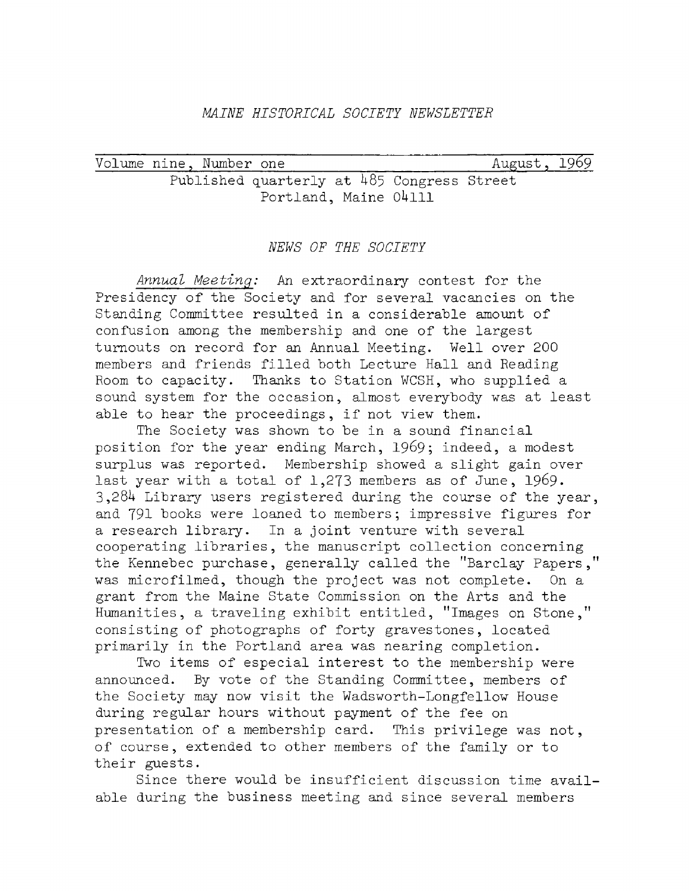#### *MAINE HISTORICAL SOCIETY NEWSLETTER*

Volume nine, Number one and all all the August, Published quarterly at 485 Congress Street Portland, Maine 04111 1969

#### *NEWS OF THE SOCIETY*

Annual Meeting: An extraordinary contest for the Presidency of the Society and for several vacancies on the Standing Committee resulted in a considerable amount of confusion among the membership and one of the largest turnouts on record for an Annual Meeting. Well over 200 members and friends filled both Lecture Hall and Reading Room to capacity. Thanks to Station WCSH, who supplied a sound system for the occasion, almost everybody was at least able to hear the proceedings, if not view them.

The Society was shown to be in a sound financial position for the year ending March, 1969; indeed, a modest surplus was reported. Membership showed a slight gain over last year with a total of 1,273 members as of June, 1969.  $3,284$  Library users registered during the course of the year, and 791 books were loaned to members; impressive figures for a research library. In a joint venture with several cooperating libraries, the manuscript collection concerning the Kennebec purchase, generally called the "Barclay Papers," was microfilmed, though the project was not complete. On a grant from the Maine State Commission on the Arts and the Humanities, a traveling exhibit entitled, "Images on Stone," consisting of photographs of forty gravestones, located primarily in the Portland area was nearing completion.

Two items of especial interest to the membership were announced. By vote of the Standing Committee, members of the Society may now visit the Wadsworth-Longfellow House during regular hours without payment of the fee on presentation of a membership card. This privilege was not, of course, extended to other members of the family or to their guests.

Since there would be insufficient discussion time available during the business meeting and since several members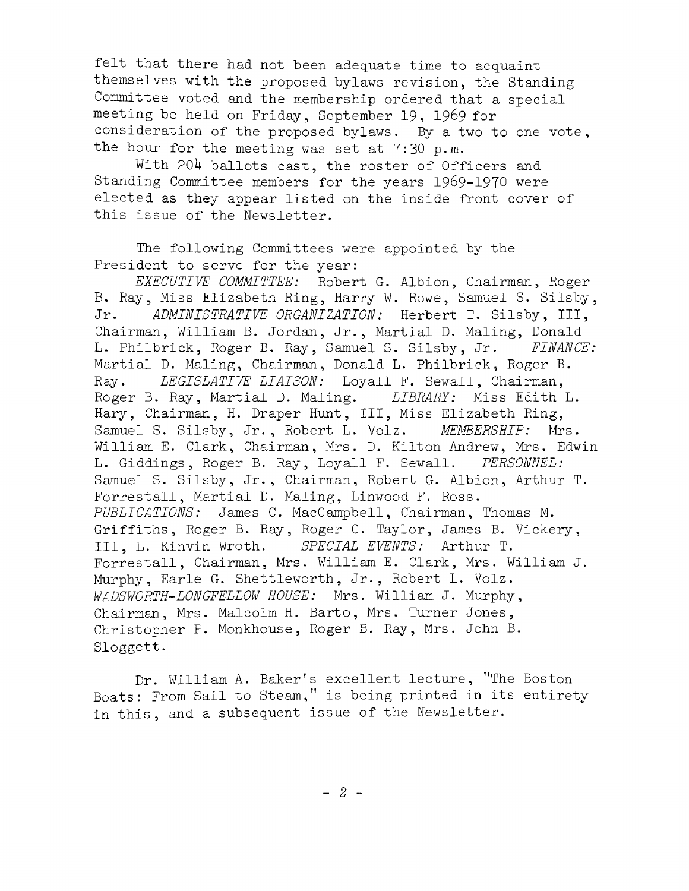felt that there had not been adequate time to acquaint themselves with the proposed bylaws revision, the Standing Committee voted and the membership ordered that a special meeting be held on Friday, September 19, 1969 for consideration of the proposed bylaws. By a two to one vote, the hour for the meeting was set at 7:30 p.m.

With 204 ballots cast, the roster of Officers and Standing Committee members for the years 1969-1970 were elected as they appear listed on the inside front cover of this issue of the Newsletter.

The following Committees were appointed by the President to serve for the year:

*EXECUTIVE COMMITTEE:* Robert G. Albion, Chairman, Roger B. Ray, Miss Elizabeth Ring, Harry W. Rowe, Samuel S. Silsby, Jr. ADMINISTRATIVE ORGANIZATION: Herbert T. Silsby, III, Chairman, William B. Jordan, Jr., Martial D. Maling, Donald L. Philbrick, Roger B. Ray, Samuel S. Silsby, Jr. FINANCE: Martial D. Maling, Chairman, Donald L. Philbrick, Roger B. Ray. *LEGISLATIVE LIAISON:* Loyall F. Sewall, Chairman, Roger B. Ray, Martial D. Maling. *LIBRARY*: Miss Edith L. Hary, Chairman, H. Draper Hunt, III, Miss Elizabeth Ring, Samuel S. Silsby, Jr., Robert L. Volz. *MEMBERSHIP*: Mrs. William E. Clark, Chairman, Mrs. D. Kilton Andrew, Mrs. Edwin L. Giddings, Roger B. Ray, Loyall F. Sewall. *PERSONNEL:* Samuel S. Silsby, Jr., Chairman, Robert G. Albion, Arthur T. Forrestall, Martial D. Maling, Linwood F. Ross. *PUBLICATIONS:* James C. MacCampbell, Chairman, Thomas M. Griffiths, Roger B. Ray, Roger C. Taylor, James B. Vickery, III, L. Kinvin Wroth. *SPECIAL EVENTS:* Arthur T. Forrestall, Chairman, Mrs. William E. Clark, Mrs. William J. Murphy, Earle G. Shettleworth, Jr-, Robert L. Volz. *WADSWORTH-LONGFELLOW HOUSE:* Mrs. William J. Murphy, Chairman, Mrs. Malcolm H. Barto, Mrs. Turner Jones, Christopher P. Monkhouse, Roger B. Ray, Mrs. John B. Sloggett.

Dr. William A. Baker's excellent lecture, "The Boston Boats: From Sail to Steam," is being printed in its entirety in this, and a subsequent issue of the Newsletter.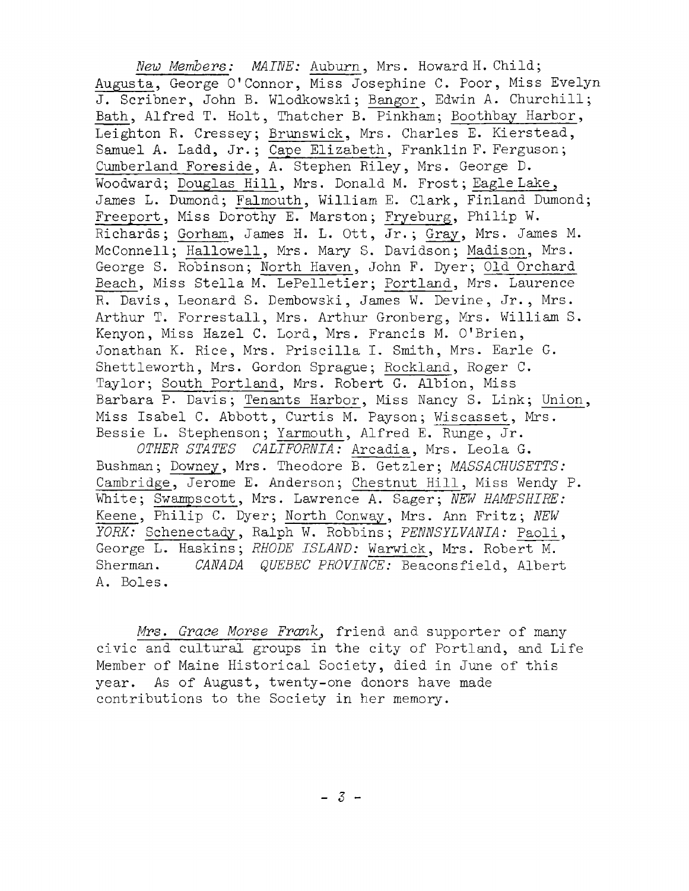*New Members: MAINE:* Auburn, Mrs. Howard H. Child; Augusta, George 0' Connor, Miss Josephine C. Poor, Miss Evelyn J. Scribner, John B. Wlodkowski; Bangor, Edwin A. Churchill; Bath, Alfred T. Holt, Thatcher B. Pinkham; Boothbay Harbor, Leighton R. Cressey: Brunswick, Mrs. Charles E. Kierstead, Samuel A. Ladd, Jr.; Cape Elizabeth, Franklin F. Ferguson; Cumberland Foreside, A. Stephen Riley, Mrs. George D. Woodward; Douglas Hill, Mrs. Donald M. Frost; Eagle Lake, James L. Dumond; Falmouth, William E. Clark, Finland Dumond; Freeport, Miss Dorothy E. Marston; Fryeburg, Philip W. Richards; Gorham, James H. L. Ott, Jr.; Gray, Mrs. James M. McConnell; Hallowell, Mrs. Mary S. Davidson; Madison, Mrs. George S. Robinson; North Haven, John F. Dyer; Old Orchard Beach, Miss Stella M. LePelletier; Portland, Mrs. Laurence R. Davis, Leonard S. Dembowski, James W. Devine, Jr., Mrs. Arthur T. Forrestall, Mrs. Arthur Gronberg, Mrs. William S. Kenyon, Miss Hazel C. Lord, Mrs. Francis M. O'Brien, Jonathan K. Rice, Mrs. Priscilla I. Smith, Mrs. Earle G. Shettleworth, Mrs. Gordon Sprague; Rockland, Roger C. Taylor; South Portland, Mrs. Robert G. Albion, Miss Barbara P. Davis; Tenants Harbor, Miss Nancy S. Link; Union, Miss Isabel C. Abbott, Curtis M. Payson; Wiscasset, Mrs. Bessie L. Stephenson; Yarmouth, Alfred E. Runge, Jr.

*OTHER STATES CALIFORNIA:* Arcadia, Mrs. Leola G. Bushman; Downey, Mrs. Theodore B. Getzler; *MASSACHUSETTS*: Cambridge, Jerome E. Anderson; Chestnut Hill, Miss Wendy P. White; Swampscott, Mrs. Lawrence A. Sager; *NEW HAMPSHIRE*: Keene, Philip C. Dyer; North Conway, Mrs. Ann Fritz; NEW *YORK:* Schenectady, Ralph W. Robbins; *PENNSYLVANIA*: Paoli, George L. Haskins; *RHODE ISLAND:* Warwick, Mrs. Robert M. Sherman. *CANADA QUEBEC PROVINCE*: Beaconsfield, Albert A. Boles.

Mrs. Grace Morse Frank, friend and supporter of many civic and cultural groups in the city of Portland, and Life Member of Maine Historical Society, died in June of this year. As of August, twenty-one donors have made contributions to the Society in her memory.